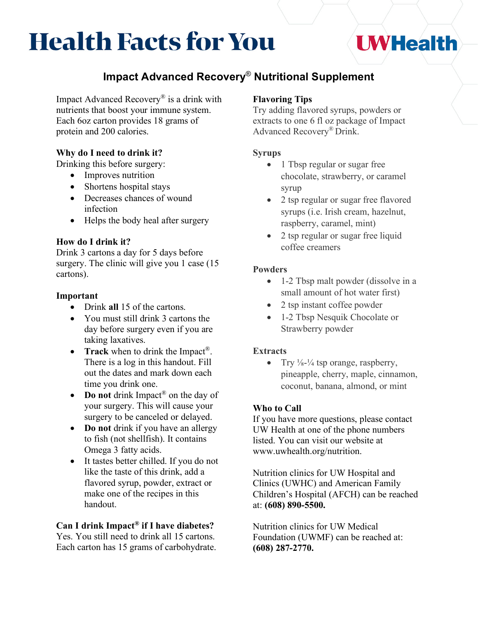# **Health Facts for You**

## **I WHealth**

### **Impact Advanced Recovery**® **Nutritional Supplement**

Impact Advanced Recovery® is a drink with nutrients that boost your immune system. Each 6oz carton provides 18 grams of protein and 200 calories.

#### **Why do I need to drink it?**

Drinking this before surgery:

- Improves nutrition
- Shortens hospital stays
- Decreases chances of wound infection
- Helps the body heal after surgery

#### **How do I drink it?**

Drink 3 cartons a day for 5 days before surgery. The clinic will give you 1 case (15) cartons).

#### **Important**

- Drink **all** 15 of the cartons.
- You must still drink 3 cartons the day before surgery even if you are taking laxatives.
- **Track** when to drink the Impact<sup>®</sup>. There is a log in this handout. Fill out the dates and mark down each time you drink one.
- **Do not** drink Impact<sup>®</sup> on the day of your surgery. This will cause your surgery to be canceled or delayed.
- **Do not** drink if you have an allergy to fish (not shellfish). It contains Omega 3 fatty acids.
- It tastes better chilled. If you do not like the taste of this drink, add a flavored syrup, powder, extract or make one of the recipes in this handout.

#### **Can I drink Impact® if I have diabetes?**

Yes. You still need to drink all 15 cartons. Each carton has 15 grams of carbohydrate.

#### **Flavoring Tips**

Try adding flavored syrups, powders or extracts to one 6 fl oz package of Impact Advanced Recovery® Drink.

#### **Syrups**

- 1 Tbsp regular or sugar free chocolate, strawberry, or caramel syrup
- 2 tsp regular or sugar free flavored syrups (i.e. Irish cream, hazelnut, raspberry, caramel, mint)
- 2 tsp regular or sugar free liquid coffee creamers

#### **Powders**

- 1-2 Tbsp malt powder (dissolve in a small amount of hot water first)
- 2 tsp instant coffee powder
- 1-2 Tbsp Nesquik Chocolate or Strawberry powder

#### **Extracts**

• Try  $\frac{1}{8}$ - $\frac{1}{4}$  tsp orange, raspberry, pineapple, cherry, maple, cinnamon, coconut, banana, almond, or mint

#### **Who to Call**

If you have more questions, please contact UW Health at one of the phone numbers listed. You can visit our website at www.uwhealth.org/nutrition.

Nutrition clinics for UW Hospital and Clinics (UWHC) and American Family Children's Hospital (AFCH) can be reached at: **(608) 890-5500.** 

Nutrition clinics for UW Medical Foundation (UWMF) can be reached at: **(608) 287-2770.**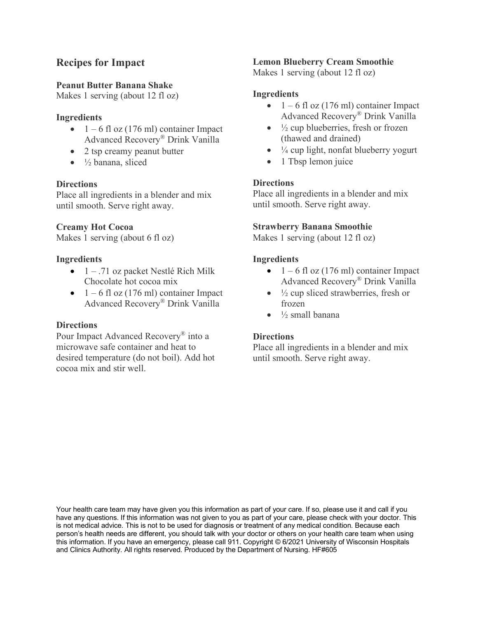#### **Recipes for Impact**

#### **Peanut Butter Banana Shake**

Makes 1 serving (about 12 fl oz)

#### **Ingredients**

- $1 6$  fl oz (176 ml) container Impact Advanced Recovery® Drink Vanilla
- 2 tsp creamy peanut butter
- $\bullet$   $\frac{1}{2}$  banana, sliced

#### **Directions**

Place all ingredients in a blender and mix until smooth. Serve right away.

#### **Creamy Hot Cocoa**

Makes 1 serving (about 6 fl oz)

#### **Ingredients**

- $\bullet$  1 .71 oz packet Nestlé Rich Milk Chocolate hot cocoa mix
- $\bullet$  1 6 fl oz (176 ml) container Impact Advanced Recovery® Drink Vanilla

#### **Directions**

Pour Impact Advanced Recovery® into a microwave safe container and heat to desired temperature (do not boil). Add hot cocoa mix and stir well.

#### **Lemon Blueberry Cream Smoothie**

Makes 1 serving (about 12 fl oz)

#### **Ingredients**

- $1 6$  fl oz (176 ml) container Impact Advanced Recovery® Drink Vanilla
- $\bullet$   $\frac{1}{2}$  cup blueberries, fresh or frozen (thawed and drained)
- $\bullet$   $\frac{1}{4}$  cup light, nonfat blueberry yogurt
- 1 Tbsp lemon juice

#### **Directions**

Place all ingredients in a blender and mix until smooth. Serve right away.

#### **Strawberry Banana Smoothie**

Makes 1 serving (about 12 fl oz)

#### **Ingredients**

- $1 6$  fl oz (176 ml) container Impact Advanced Recovery® Drink Vanilla
- $\bullet$   $\frac{1}{2}$  cup sliced strawberries, fresh or frozen
- $\bullet$   $\frac{1}{2}$  small banana

#### **Directions**

Place all ingredients in a blender and mix until smooth. Serve right away.

Your health care team may have given you this information as part of your care. If so, please use it and call if you have any questions. If this information was not given to you as part of your care, please check with your doctor. This is not medical advice. This is not to be used for diagnosis or treatment of any medical condition. Because each person's health needs are different, you should talk with your doctor or others on your health care team when using this information. If you have an emergency, please call 911. Copyright © 6/2021 University of Wisconsin Hospitals and Clinics Authority. All rights reserved. Produced by the Department of Nursing. HF#605